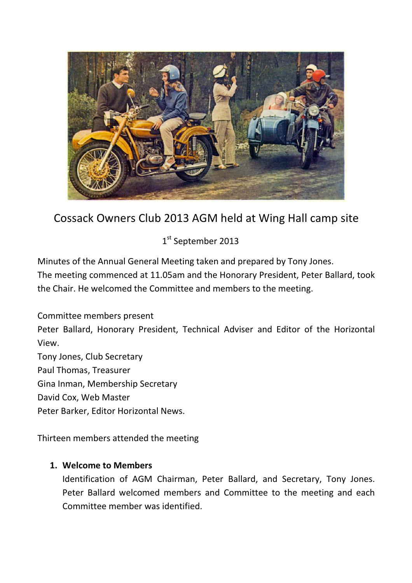

Cossack Owners Club 2013 AGM held at Wing Hall camp site

1<sup>st</sup> September 2013

Minutes of the Annual General Meeting taken and prepared by Tony Jones.

The meeting commenced at 11.05am and the Honorary President, Peter Ballard, took the Chair. He welcomed the Committee and members to the meeting.

Committee members present

Peter Ballard, Honorary President, Technical Adviser and Editor of the Horizontal View.

Tony Jones, Club Secretary

Paul Thomas, Treasurer

Gina Inman, Membership Secretary

David Cox, Web Master

Peter Barker, Editor Horizontal News.

Thirteen members attended the meeting

# 1. Welcome to Members

Identification of AGM Chairman, Peter Ballard, and Secretary, Tony Jones. Peter Ballard welcomed members and Committee to the meeting and each Committee member was identified.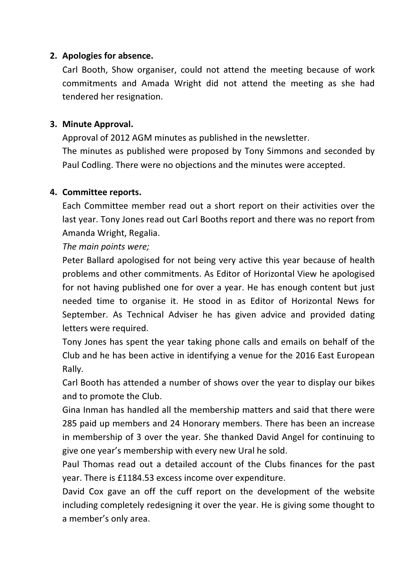### 2. Apologies for absence.

Carl Booth, Show organiser, could not attend the meeting because of work commitments and Amada Wright did not attend the meeting as she had tendered her resignation.

## 3. Minute Approval.

Approval of 2012 AGM minutes as published in the newsletter.

The minutes as published were proposed by Tony Simmons and seconded by Paul Codling. There were no objections and the minutes were accepted.

## 4. Committee reports.

Each Committee member read out a short report on their activities over the last year. Tony Jones read out Carl Booths report and there was no report from Amanda Wright, Regalia.

The main points were;

Peter Ballard apologised for not being very active this year because of health problems and other commitments. As Editor of Horizontal View he apologised for not having published one for over a year. He has enough content but just needed time to organise it. He stood in as Editor of Horizontal News for September. As Technical Adviser he has given advice and provided dating letters were required.

Tony Jones has spent the year taking phone calls and emails on behalf of the Club and he has been active in identifying a venue for the 2016 East European Rally.

Carl Booth has attended a number of shows over the year to display our bikes and to promote the Club.

Gina Inman has handled all the membership matters and said that there were 285 paid up members and 24 Honorary members. There has been an increase in membership of 3 over the year. She thanked David Angel for continuing to give one year's membership with every new Ural he sold.

Paul Thomas read out a detailed account of the Clubs finances for the past year. There is £1184.53 excess income over expenditure.

David Cox gave an off the cuff report on the development of the website including completely redesigning it over the year. He is giving some thought to a member's only area.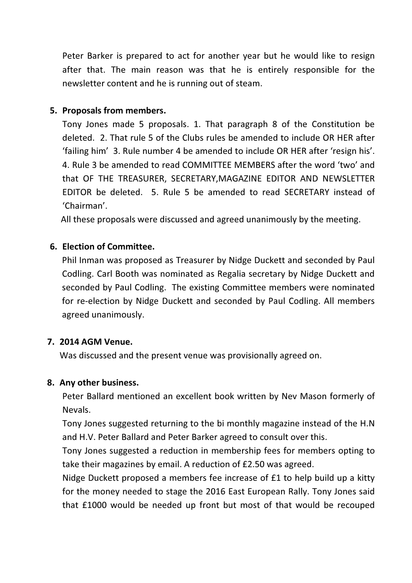Peter Barker is prepared to act for another year but he would like to resign after that. The main reason was that he is entirely responsible for the newsletter content and he is running out of steam.

### 5. Proposals from members.

Tony Jones made 5 proposals. 1. That paragraph 8 of the Constitution be deleted. 2. That rule 5 of the Clubs rules be amended to include OR HER after 'failing him' 3. Rule number 4 be amended to include OR HER after 'resign his'. 4. Rule 3 be amended to read COMMITTEE MEMBERS after the word 'two' and that OF THE TREASURER, SECRETARY,MAGAZINE EDITOR AND NEWSLETTER EDITOR be deleted. 5. Rule 5 be amended to read SECRETARY instead of 'Chairman'.

All these proposals were discussed and agreed unanimously by the meeting.

### 6. Election of Committee.

Phil Inman was proposed as Treasurer by Nidge Duckett and seconded by Paul Codling. Carl Booth was nominated as Regalia secretary by Nidge Duckett and seconded by Paul Codling. The existing Committee members were nominated for re-election by Nidge Duckett and seconded by Paul Codling. All members agreed unanimously.

#### 7. 2014 AGM Venue.

Was discussed and the present venue was provisionally agreed on.

#### 8. Any other business.

Peter Ballard mentioned an excellent book written by Nev Mason formerly of Nevals.

Tony Jones suggested returning to the bi monthly magazine instead of the H.N and H.V. Peter Ballard and Peter Barker agreed to consult over this.

Tony Jones suggested a reduction in membership fees for members opting to take their magazines by email. A reduction of £2.50 was agreed.

Nidge Duckett proposed a members fee increase of £1 to help build up a kitty for the money needed to stage the 2016 East European Rally. Tony Jones said that £1000 would be needed up front but most of that would be recouped